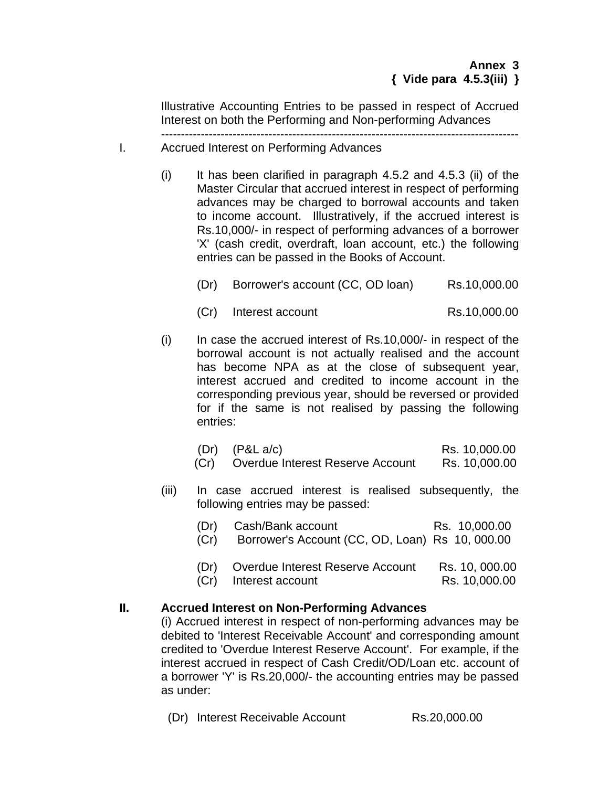Illustrative Accounting Entries to be passed in respect of Accrued Interest on both the Performing and Non-performing Advances

## ------------------------------------------------------------------------------------------ I. Accrued Interest on Performing Advances

- $(i)$  It has been clarified in paragraph 4.5.2 and 4.5.3 (ii) of the Master Circular that accrued interest in respect of performing advances may be charged to borrowal accounts and taken to income account. Illustratively, if the accrued interest is Rs.10,000/- in respect of performing advances of a borrower 'X' (cash credit, overdraft, loan account, etc.) the following entries can be passed in the Books of Account.
	- (Dr) Borrower's account (CC, OD loan) Rs.10,000.00
	- (Cr) Interest account Rs.10,000.00
- $(i)$  In case the accrued interest of Rs.10,000/- in respect of the borrowal account is not actually realised and the account has become NPA as at the close of subsequent year, interest accrued and credited to income account in the corresponding previous year, should be reversed or provided for if the same is not realised by passing the following entries:
	- (Dr) (P&L a/c) Rs. 10,000.00
	- (Cr) Overdue Interest Reserve Account Rs. 10,000.00
- (iii) In case accrued interest is realised subsequently, the following entries may be passed:
	- (Dr) Cash/Bank account Rs. 10,000.00 (Cr) Borrower's Account (CC, OD, Loan) Rs 10, 000.00 (Dr) Overdue Interest Reserve Account Rs. 10, 000.00
	- **(Cr)** Interest account Rs. 10,000.00

## **II. Accrued Interest on Non-Performing Advances**

(i) Accrued interest in respect of non-performing advances may be debited to 'Interest Receivable Account' and corresponding amount credited to 'Overdue Interest Reserve Account'. For example, if the interest accrued in respect of Cash Credit/OD/Loan etc. account of a borrower 'Y' is Rs.20,000/- the accounting entries may be passed as under:

(Dr) Interest Receivable Account Rs.20,000.00